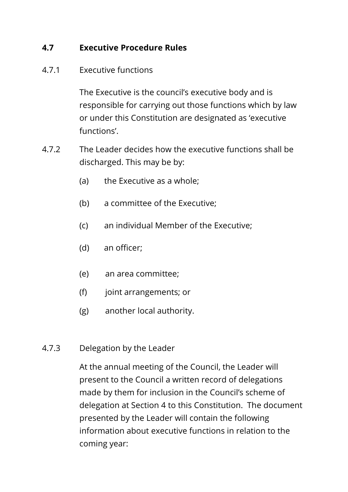## **4.7 Executive Procedure Rules**

#### 4.7.1 Executive functions

The Executive is the council's executive body and is responsible for carrying out those functions which by law or under this Constitution are designated as 'executive functions'.

- 4.7.2 The Leader decides how the executive functions shall be discharged. This may be by:
	- (a) the Executive as a whole;
	- (b) a committee of the Executive;
	- (c) an individual Member of the Executive;
	- (d) an officer;
	- (e) an area committee;
	- (f) joint arrangements; or
	- (g) another local authority.
- 4.7.3 Delegation by the Leader

At the annual meeting of the Council, the Leader will present to the Council a written record of delegations made by them for inclusion in the Council's scheme of delegation at Section 4 to this Constitution. The document presented by the Leader will contain the following information about executive functions in relation to the coming year: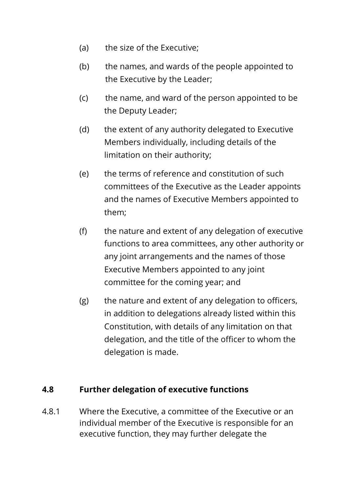- (a) the size of the Executive;
- (b) the names, and wards of the people appointed to the Executive by the Leader;
- (c) the name, and ward of the person appointed to be the Deputy Leader;
- (d) the extent of any authority delegated to Executive Members individually, including details of the limitation on their authority;
- (e) the terms of reference and constitution of such committees of the Executive as the Leader appoints and the names of Executive Members appointed to them;
- (f) the nature and extent of any delegation of executive functions to area committees, any other authority or any joint arrangements and the names of those Executive Members appointed to any joint committee for the coming year; and
- (g) the nature and extent of any delegation to officers, in addition to delegations already listed within this Constitution, with details of any limitation on that delegation, and the title of the officer to whom the delegation is made.

## **4.8 Further delegation of executive functions**

4.8.1 Where the Executive, a committee of the Executive or an individual member of the Executive is responsible for an executive function, they may further delegate the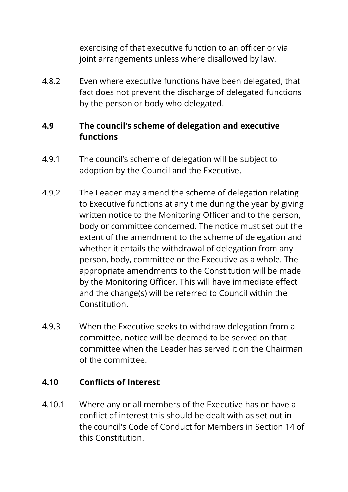exercising of that executive function to an officer or via joint arrangements unless where disallowed by law.

4.8.2 Even where executive functions have been delegated, that fact does not prevent the discharge of delegated functions by the person or body who delegated.

# **4.9 The council's scheme of delegation and executive functions**

- 4.9.1 The council's scheme of delegation will be subject to adoption by the Council and the Executive.
- 4.9.2 The Leader may amend the scheme of delegation relating to Executive functions at any time during the year by giving written notice to the Monitoring Officer and to the person, body or committee concerned. The notice must set out the extent of the amendment to the scheme of delegation and whether it entails the withdrawal of delegation from any person, body, committee or the Executive as a whole. The appropriate amendments to the Constitution will be made by the Monitoring Officer. This will have immediate effect and the change(s) will be referred to Council within the Constitution.
- 4.9.3 When the Executive seeks to withdraw delegation from a committee, notice will be deemed to be served on that committee when the Leader has served it on the Chairman of the committee.

#### **4.10 Conflicts of Interest**

4.10.1 Where any or all members of the Executive has or have a conflict of interest this should be dealt with as set out in the council's Code of Conduct for Members in Section 14 of this Constitution.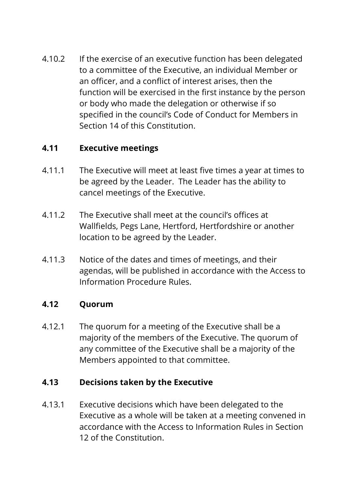4.10.2 If the exercise of an executive function has been delegated to a committee of the Executive, an individual Member or an officer, and a conflict of interest arises, then the function will be exercised in the first instance by the person or body who made the delegation or otherwise if so specified in the council's Code of Conduct for Members in Section 14 of this Constitution.

## **4.11 Executive meetings**

- 4.11.1 The Executive will meet at least five times a year at times to be agreed by the Leader. The Leader has the ability to cancel meetings of the Executive.
- 4.11.2 The Executive shall meet at the council's offices at Wallfields, Pegs Lane, Hertford, Hertfordshire or another location to be agreed by the Leader.
- 4.11.3 Notice of the dates and times of meetings, and their agendas, will be published in accordance with the Access to Information Procedure Rules.

## **4.12 Quorum**

4.12.1 The quorum for a meeting of the Executive shall be a majority of the members of the Executive. The quorum of any committee of the Executive shall be a majority of the Members appointed to that committee.

## **4.13 Decisions taken by the Executive**

4.13.1 Executive decisions which have been delegated to the Executive as a whole will be taken at a meeting convened in accordance with the Access to Information Rules in Section 12 of the Constitution.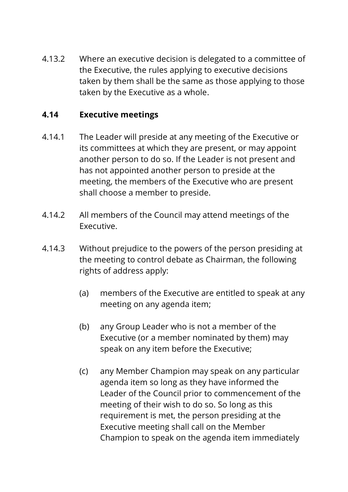4.13.2 Where an executive decision is delegated to a committee of the Executive, the rules applying to executive decisions taken by them shall be the same as those applying to those taken by the Executive as a whole.

## **4.14 Executive meetings**

- 4.14.1 The Leader will preside at any meeting of the Executive or its committees at which they are present, or may appoint another person to do so. If the Leader is not present and has not appointed another person to preside at the meeting, the members of the Executive who are present shall choose a member to preside.
- 4.14.2 All members of the Council may attend meetings of the Executive.
- 4.14.3 Without prejudice to the powers of the person presiding at the meeting to control debate as Chairman, the following rights of address apply:
	- (a) members of the Executive are entitled to speak at any meeting on any agenda item;
	- (b) any Group Leader who is not a member of the Executive (or a member nominated by them) may speak on any item before the Executive;
	- (c) any Member Champion may speak on any particular agenda item so long as they have informed the Leader of the Council prior to commencement of the meeting of their wish to do so. So long as this requirement is met, the person presiding at the Executive meeting shall call on the Member Champion to speak on the agenda item immediately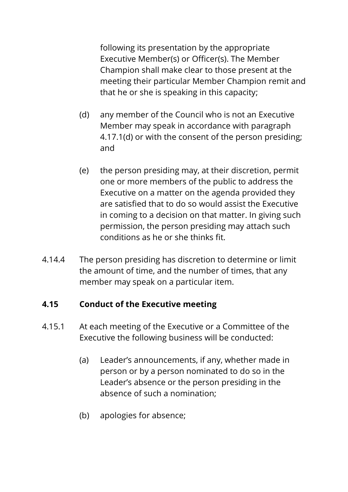following its presentation by the appropriate Executive Member(s) or Officer(s). The Member Champion shall make clear to those present at the meeting their particular Member Champion remit and that he or she is speaking in this capacity;

- (d) any member of the Council who is not an Executive Member may speak in accordance with paragraph 4.17.1(d) or with the consent of the person presiding; and
- (e) the person presiding may, at their discretion, permit one or more members of the public to address the Executive on a matter on the agenda provided they are satisfied that to do so would assist the Executive in coming to a decision on that matter. In giving such permission, the person presiding may attach such conditions as he or she thinks fit.
- 4.14.4 The person presiding has discretion to determine or limit the amount of time, and the number of times, that any member may speak on a particular item.

## **4.15 Conduct of the Executive meeting**

- 4.15.1 At each meeting of the Executive or a Committee of the Executive the following business will be conducted:
	- (a) Leader's announcements, if any, whether made in person or by a person nominated to do so in the Leader's absence or the person presiding in the absence of such a nomination;
	- (b) apologies for absence;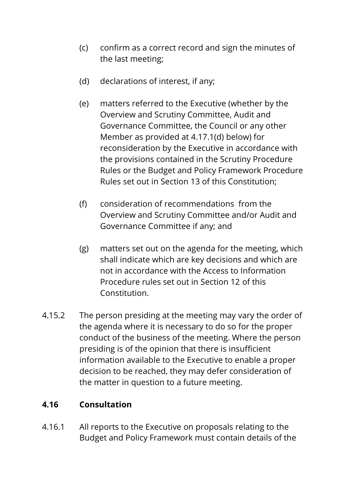- (c) confirm as a correct record and sign the minutes of the last meeting;
- (d) declarations of interest, if any;
- (e) matters referred to the Executive (whether by the Overview and Scrutiny Committee, Audit and Governance Committee, the Council or any other Member as provided at 4.17.1(d) below) for reconsideration by the Executive in accordance with the provisions contained in the Scrutiny Procedure Rules or the Budget and Policy Framework Procedure Rules set out in Section 13 of this Constitution;
- (f) consideration of recommendations from the Overview and Scrutiny Committee and/or Audit and Governance Committee if any; and
- (g) matters set out on the agenda for the meeting, which shall indicate which are key decisions and which are not in accordance with the Access to Information Procedure rules set out in Section 12 of this Constitution.
- 4.15.2 The person presiding at the meeting may vary the order of the agenda where it is necessary to do so for the proper conduct of the business of the meeting. Where the person presiding is of the opinion that there is insufficient information available to the Executive to enable a proper decision to be reached, they may defer consideration of the matter in question to a future meeting.

## **4.16 Consultation**

4.16.1 All reports to the Executive on proposals relating to the Budget and Policy Framework must contain details of the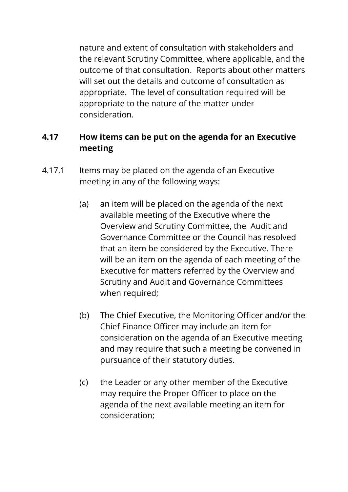nature and extent of consultation with stakeholders and the relevant Scrutiny Committee, where applicable, and the outcome of that consultation. Reports about other matters will set out the details and outcome of consultation as appropriate. The level of consultation required will be appropriate to the nature of the matter under consideration.

#### **4.17 How items can be put on the agenda for an Executive meeting**

- 4.17.1 Items may be placed on the agenda of an Executive meeting in any of the following ways:
	- (a) an item will be placed on the agenda of the next available meeting of the Executive where the Overview and Scrutiny Committee, the Audit and Governance Committee or the Council has resolved that an item be considered by the Executive. There will be an item on the agenda of each meeting of the Executive for matters referred by the Overview and Scrutiny and Audit and Governance Committees when required;
	- (b) The Chief Executive, the Monitoring Officer and/or the Chief Finance Officer may include an item for consideration on the agenda of an Executive meeting and may require that such a meeting be convened in pursuance of their statutory duties.
	- (c) the Leader or any other member of the Executive may require the Proper Officer to place on the agenda of the next available meeting an item for consideration;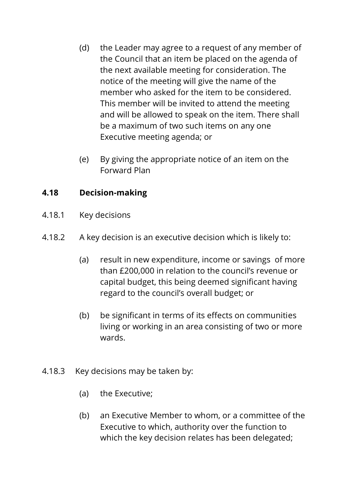- (d) the Leader may agree to a request of any member of the Council that an item be placed on the agenda of the next available meeting for consideration. The notice of the meeting will give the name of the member who asked for the item to be considered. This member will be invited to attend the meeting and will be allowed to speak on the item. There shall be a maximum of two such items on any one Executive meeting agenda; or
- (e) By giving the appropriate notice of an item on the Forward Plan

## **4.18 Decision-making**

- 4.18.1 Key decisions
- 4.18.2 A key decision is an executive decision which is likely to:
	- (a) result in new expenditure, income or savings of more than £200,000 in relation to the council's revenue or capital budget, this being deemed significant having regard to the council's overall budget; or
	- (b) be significant in terms of its effects on communities living or working in an area consisting of two or more wards.
- 4.18.3 Key decisions may be taken by:
	- (a) the Executive;
	- (b) an Executive Member to whom, or a committee of the Executive to which, authority over the function to which the key decision relates has been delegated;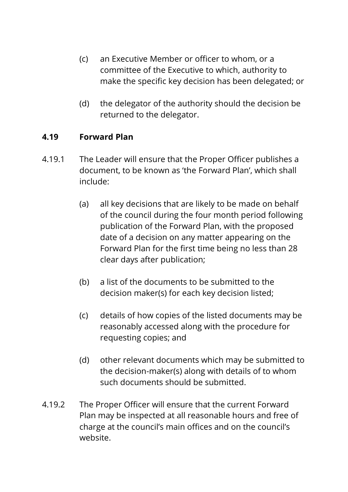- (c) an Executive Member or officer to whom, or a committee of the Executive to which, authority to make the specific key decision has been delegated; or
- (d) the delegator of the authority should the decision be returned to the delegator.

#### **4.19 Forward Plan**

- 4.19.1 The Leader will ensure that the Proper Officer publishes a document, to be known as 'the Forward Plan', which shall include:
	- (a) all key decisions that are likely to be made on behalf of the council during the four month period following publication of the Forward Plan, with the proposed date of a decision on any matter appearing on the Forward Plan for the first time being no less than 28 clear days after publication;
	- (b) a list of the documents to be submitted to the decision maker(s) for each key decision listed;
	- (c) details of how copies of the listed documents may be reasonably accessed along with the procedure for requesting copies; and
	- (d) other relevant documents which may be submitted to the decision-maker(s) along with details of to whom such documents should be submitted.
- 4.19.2 The Proper Officer will ensure that the current Forward Plan may be inspected at all reasonable hours and free of charge at the council's main offices and on the council's website.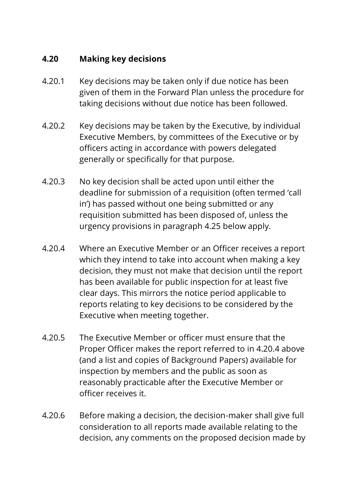## **4.20 Making key decisions**

- 4.20.1 Key decisions may be taken only if due notice has been given of them in the Forward Plan unless the procedure for taking decisions without due notice has been followed.
- 4.20.2 Key decisions may be taken by the Executive, by individual Executive Members, by committees of the Executive or by officers acting in accordance with powers delegated generally or specifically for that purpose.
- 4.20.3 No key decision shall be acted upon until either the deadline for submission of a requisition (often termed 'call in') has passed without one being submitted or any requisition submitted has been disposed of, unless the urgency provisions in paragraph 4.25 below apply.
- 4.20.4 Where an Executive Member or an Officer receives a report which they intend to take into account when making a key decision, they must not make that decision until the report has been available for public inspection for at least five clear days. This mirrors the notice period applicable to reports relating to key decisions to be considered by the Executive when meeting together.
- 4.20.5 The Executive Member or officer must ensure that the Proper Officer makes the report referred to in 4.20.4 above (and a list and copies of Background Papers) available for inspection by members and the public as soon as reasonably practicable after the Executive Member or officer receives it.
- 4.20.6 Before making a decision, the decision-maker shall give full consideration to all reports made available relating to the decision, any comments on the proposed decision made by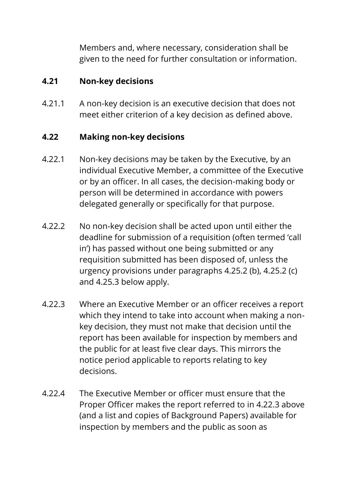Members and, where necessary, consideration shall be given to the need for further consultation or information.

#### **4.21 Non-key decisions**

4.21.1 A non-key decision is an executive decision that does not meet either criterion of a key decision as defined above.

#### **4.22 Making non-key decisions**

- 4.22.1 Non-key decisions may be taken by the Executive, by an individual Executive Member, a committee of the Executive or by an officer. In all cases, the decision-making body or person will be determined in accordance with powers delegated generally or specifically for that purpose.
- 4.22.2 No non-key decision shall be acted upon until either the deadline for submission of a requisition (often termed 'call in') has passed without one being submitted or any requisition submitted has been disposed of, unless the urgency provisions under paragraphs 4.25.2 (b), 4.25.2 (c) and 4.25.3 below apply.
- 4.22.3 Where an Executive Member or an officer receives a report which they intend to take into account when making a nonkey decision, they must not make that decision until the report has been available for inspection by members and the public for at least five clear days. This mirrors the notice period applicable to reports relating to key decisions.
- 4.22.4 The Executive Member or officer must ensure that the Proper Officer makes the report referred to in 4.22.3 above (and a list and copies of Background Papers) available for inspection by members and the public as soon as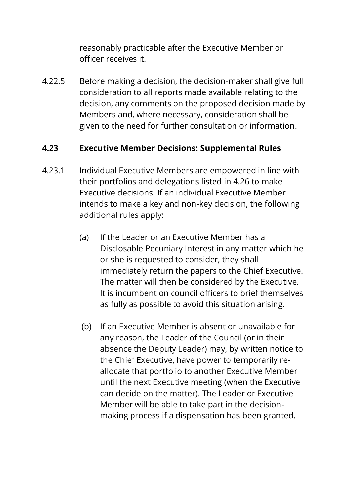reasonably practicable after the Executive Member or officer receives it.

4.22.5 Before making a decision, the decision-maker shall give full consideration to all reports made available relating to the decision, any comments on the proposed decision made by Members and, where necessary, consideration shall be given to the need for further consultation or information.

## **4.23 Executive Member Decisions: Supplemental Rules**

- 4.23.1 Individual Executive Members are empowered in line with their portfolios and delegations listed in 4.26 to make Executive decisions. If an individual Executive Member intends to make a key and non-key decision, the following additional rules apply:
	- (a) If the Leader or an Executive Member has a Disclosable Pecuniary Interest in any matter which he or she is requested to consider, they shall immediately return the papers to the Chief Executive. The matter will then be considered by the Executive. It is incumbent on council officers to brief themselves as fully as possible to avoid this situation arising.
	- (b) If an Executive Member is absent or unavailable for any reason, the Leader of the Council (or in their absence the Deputy Leader) may, by written notice to the Chief Executive, have power to temporarily reallocate that portfolio to another Executive Member until the next Executive meeting (when the Executive can decide on the matter). The Leader or Executive Member will be able to take part in the decisionmaking process if a dispensation has been granted.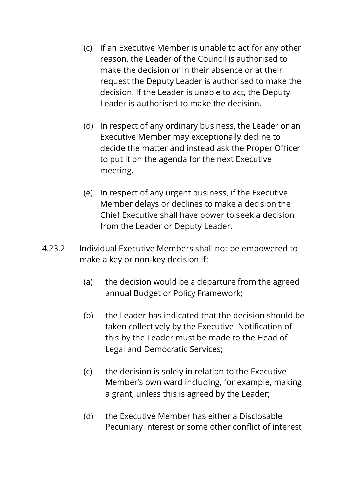- (c) If an Executive Member is unable to act for any other reason, the Leader of the Council is authorised to make the decision or in their absence or at their request the Deputy Leader is authorised to make the decision. If the Leader is unable to act, the Deputy Leader is authorised to make the decision.
- (d) In respect of any ordinary business, the Leader or an Executive Member may exceptionally decline to decide the matter and instead ask the Proper Officer to put it on the agenda for the next Executive meeting.
- (e) In respect of any urgent business, if the Executive Member delays or declines to make a decision the Chief Executive shall have power to seek a decision from the Leader or Deputy Leader.
- 4.23.2 Individual Executive Members shall not be empowered to make a key or non-key decision if:
	- (a) the decision would be a departure from the agreed annual Budget or Policy Framework;
	- (b) the Leader has indicated that the decision should be taken collectively by the Executive. Notification of this by the Leader must be made to the Head of Legal and Democratic Services;
	- (c) the decision is solely in relation to the Executive Member's own ward including, for example, making a grant, unless this is agreed by the Leader;
	- (d) the Executive Member has either a Disclosable Pecuniary Interest or some other conflict of interest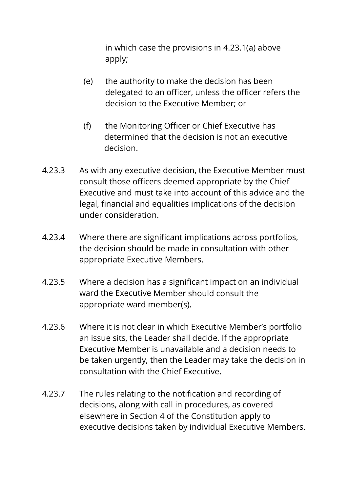in which case the provisions in 4.23.1(a) above apply;

- (e) the authority to make the decision has been delegated to an officer, unless the officer refers the decision to the Executive Member; or
- (f) the Monitoring Officer or Chief Executive has determined that the decision is not an executive decision.
- 4.23.3 As with any executive decision, the Executive Member must consult those officers deemed appropriate by the Chief Executive and must take into account of this advice and the legal, financial and equalities implications of the decision under consideration.
- 4.23.4 Where there are significant implications across portfolios, the decision should be made in consultation with other appropriate Executive Members.
- 4.23.5 Where a decision has a significant impact on an individual ward the Executive Member should consult the appropriate ward member(s).
- 4.23.6 Where it is not clear in which Executive Member's portfolio an issue sits, the Leader shall decide. If the appropriate Executive Member is unavailable and a decision needs to be taken urgently, then the Leader may take the decision in consultation with the Chief Executive.
- 4.23.7 The rules relating to the notification and recording of decisions, along with call in procedures, as covered elsewhere in Section 4 of the Constitution apply to executive decisions taken by individual Executive Members.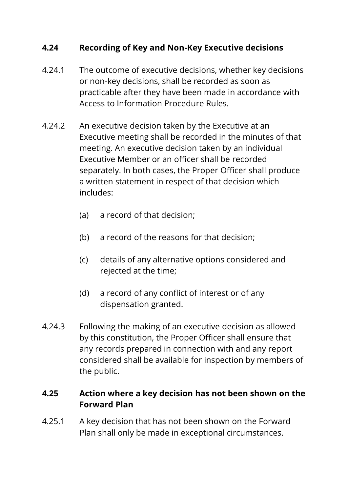#### **4.24 Recording of Key and Non-Key Executive decisions**

- 4.24.1 The outcome of executive decisions, whether key decisions or non-key decisions, shall be recorded as soon as practicable after they have been made in accordance with Access to Information Procedure Rules.
- 4.24.2 An executive decision taken by the Executive at an Executive meeting shall be recorded in the minutes of that meeting. An executive decision taken by an individual Executive Member or an officer shall be recorded separately. In both cases, the Proper Officer shall produce a written statement in respect of that decision which includes:
	- (a) a record of that decision;
	- (b) a record of the reasons for that decision;
	- (c) details of any alternative options considered and rejected at the time;
	- (d) a record of any conflict of interest or of any dispensation granted.
- 4.24.3 Following the making of an executive decision as allowed by this constitution, the Proper Officer shall ensure that any records prepared in connection with and any report considered shall be available for inspection by members of the public.

#### **4.25 Action where a key decision has not been shown on the Forward Plan**

4.25.1 A key decision that has not been shown on the Forward Plan shall only be made in exceptional circumstances.